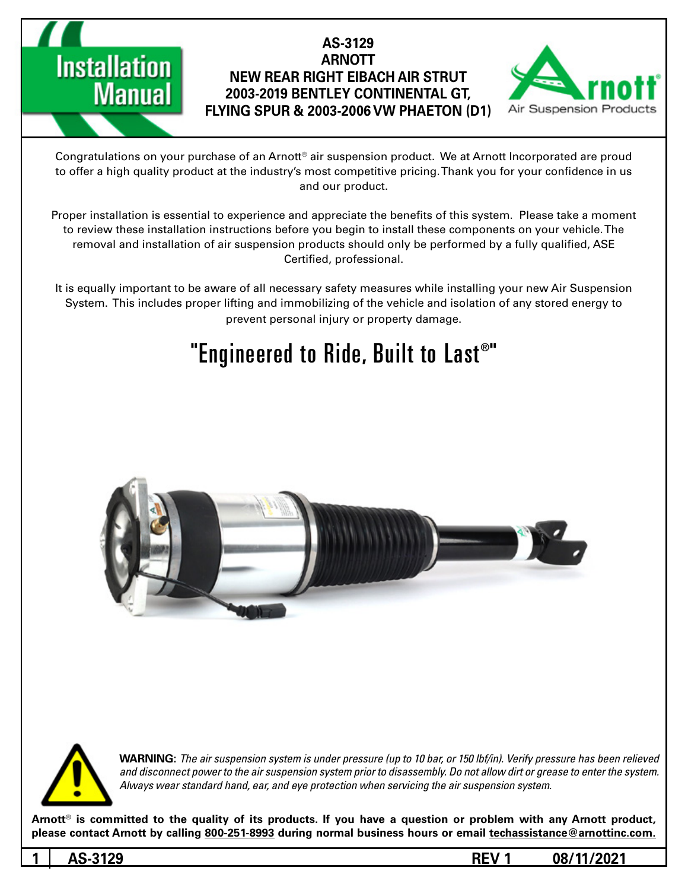

Congratulations on your purchase of an Arnott® air suspension product. We at Arnott Incorporated are proud to offer a high quality product at the industry's most competitive pricing. Thank you for your confidence in us and our product.

Proper installation is essential to experience and appreciate the benefits of this system. Please take a moment to review these installation instructions before you begin to install these components on your vehicle. The removal and installation of air suspension products should only be performed by a fully qualified, ASE Certified, professional.

It is equally important to be aware of all necessary safety measures while installing your new Air Suspension System. This includes proper lifting and immobilizing of the vehicle and isolation of any stored energy to prevent personal injury or property damage.

# "Engineered to Ride, Built to Last®"





*WARNING: The air suspension system is under pressure (up to 10 bar, or 150 lbf/in). Verify pressure has been relieved* and disconnect power to the air suspension system prior to disassembly. Do not allow dirt or grease to enter the system. Always wear standard hand, ear, and eye protection when servicing the air suspension system.

Arnott<sup>®</sup> is committed to the quality of its products. If you have a question or problem with any Arnott product, please contact Arnott by calling 800-251-8993 during normal business hours or email techassistance@arnottinc.com.

**Installation** 

**Manual**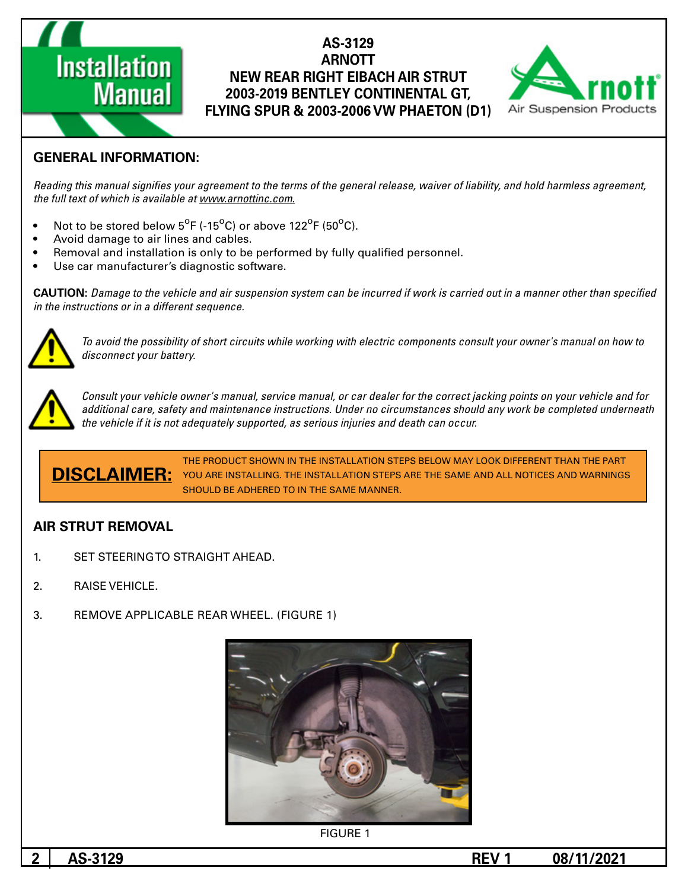

### **GENERAL INFORMATION:**

**Installation** 

**Manual** 

Reading this manual signifies your agreement to the terms of the general release, waiver of liability, and hold harmless agreement, the full text of which is available at www.arnottinc.com.

- Not to be stored below  $5^{\circ}$ F (-15 $^{\circ}$ C) or above 122 $^{\circ}$ F (50 $^{\circ}$ C).
- Avoid damage to air lines and cables.
- Removal and installation is only to be performed by fully qualified personnel.
- Use car manufacturer's diagnostic software.

**CAUTION:** Damage to the vehicle and air suspension system can be incurred if work is carried out in a manner other than specified *in the instructions or in a different sequence.* 



 *to how on manual s'owner your consult components electric with working while circuits short of possibility the avoid To* disconnect your battery.



*Consult your vehicle owner's manual, service manual, or car dealer for the correct jacking points on your vehicle and for* additional care, safety and maintenance instructions. Under no circumstances should any work be completed underneath *the vehicle if it is not adequately supported, as serious injuries and death can occur.* 

THE PRODUCT SHOWN IN THE INSTALLATION STEPS BELOW MAY LOOK DIFFERENT THAN THE PART **DISCLAIMER:** YOU ARE INSTALLING. THE INSTALLATION STEPS ARE THE SAME AND ALL NOTICES AND WARNINGS SHOULD BE ADHERED TO IN THE SAME MANNER.

#### **AIR STRUT REMOVAL**

- 1. SET STEERING TO STRAIGHT AHEAD.
- 2. RAISE VEHICLE.
- 3. REMOVE APPLICABLE REAR WHEEL. (FIGURE 1)



**FIGURE 1**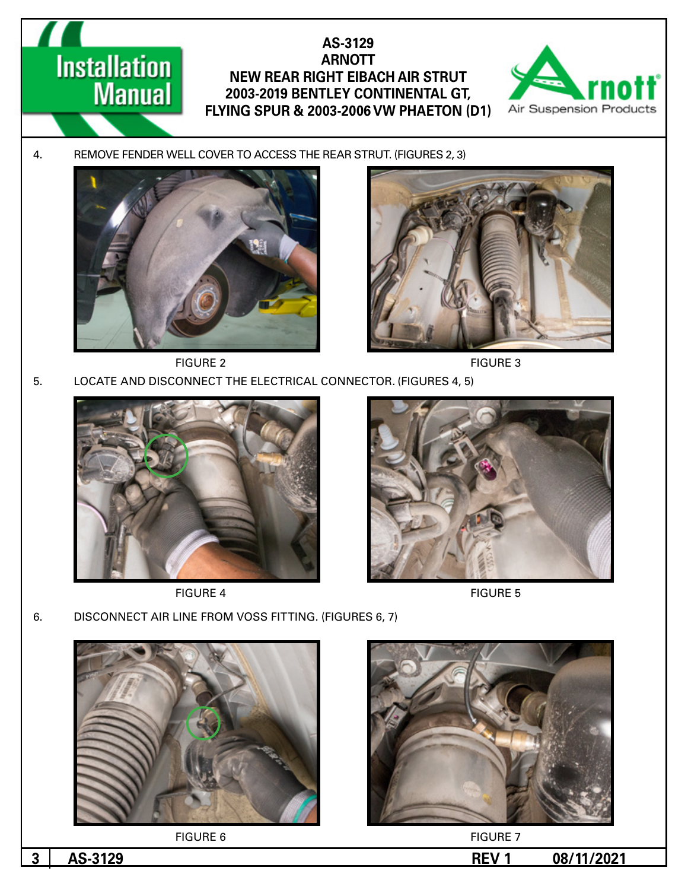

4. REMOVE FENDER WELL COVER TO ACCESS THE REAR STRUT. (FIGURES 2, 3)



**Installation** 

**Manual** 





FIGURE 2 FIGURE 3

5. LOCATE AND DISCONNECT THE ELECTRICAL CONNECTOR. (FIGURES 4, 5)





FIGURE 4 FIGURE 5

6. DISCONNECT AIR LINE FROM VOSS FITTING. (FIGURES 6, 7)



**FIGURE 6** FIGURE 7

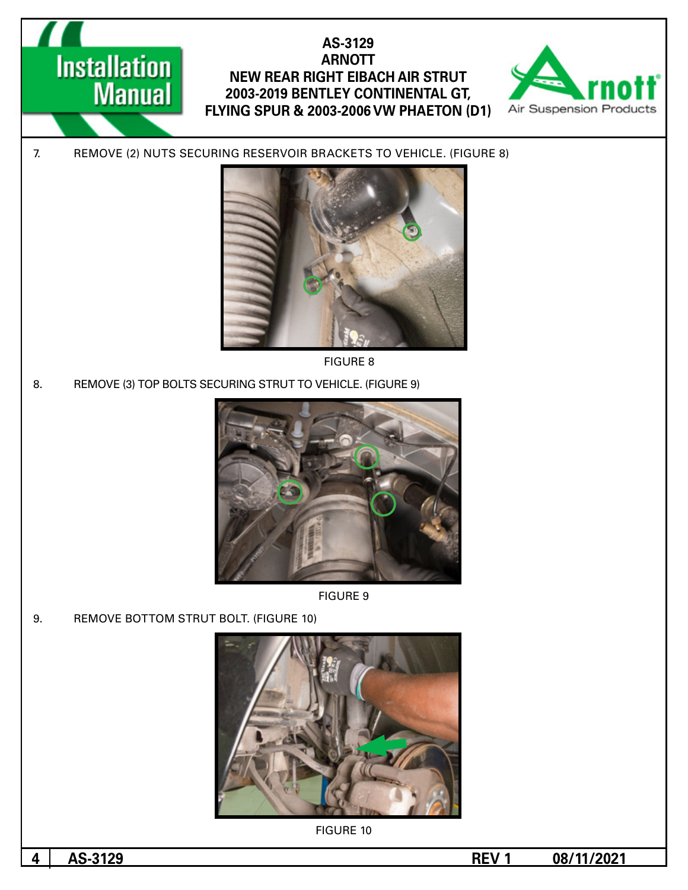

7. REMOVE (2) NUTS SECURING RESERVOIR BRACKETS TO VEHICLE. (FIGURE 8)



8 FIGURE

8. REMOVE (3) TOP BOLTS SECURING STRUT TO VEHICLE. (FIGURE 9)





9. REMOVE BOTTOM STRUT BOLT. (FIGURE 10)

**Installation** 

**Manual** 



**FIGURE 10** 

**1** AS-3129 **REV 1 08/11/2021**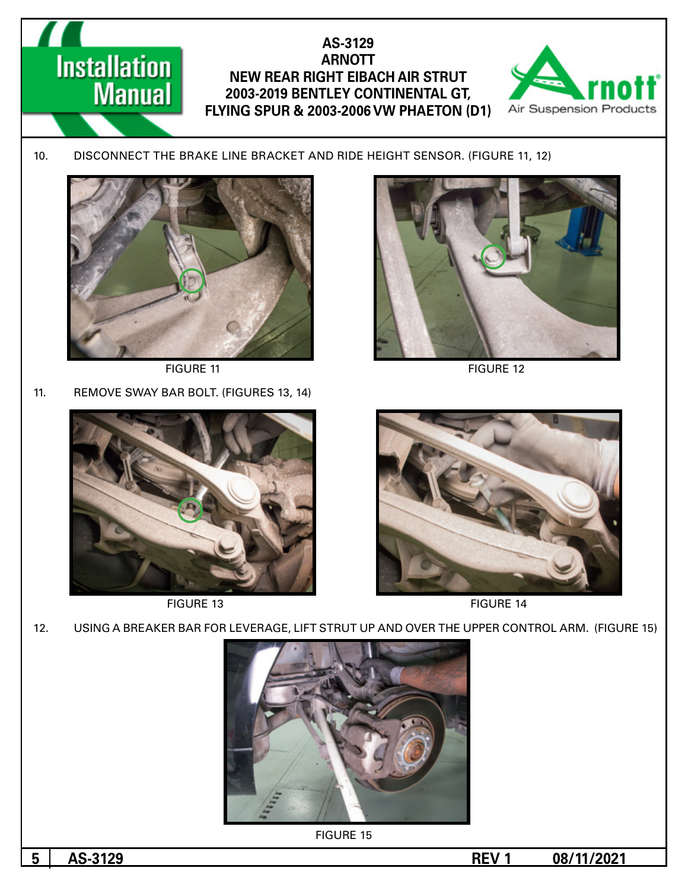

10. DISCONNECT THE BRAKE LINE BRACKET AND RIDE HEIGHT SENSOR. (FIGURE 11, 12)



**Installation** 

**Manual** 

11. REMOVE SWAY BAR BOLT. (FIGURES 13, 14)



FIGURE 11 FIGURE 12



FIGURE 13 FIGURE 14







**FIGURE 15** 

**1**  $\overline{0.8}$  **1**  $\overline{0.8}$  **1**  $\overline{0.8}$  **11/2021**